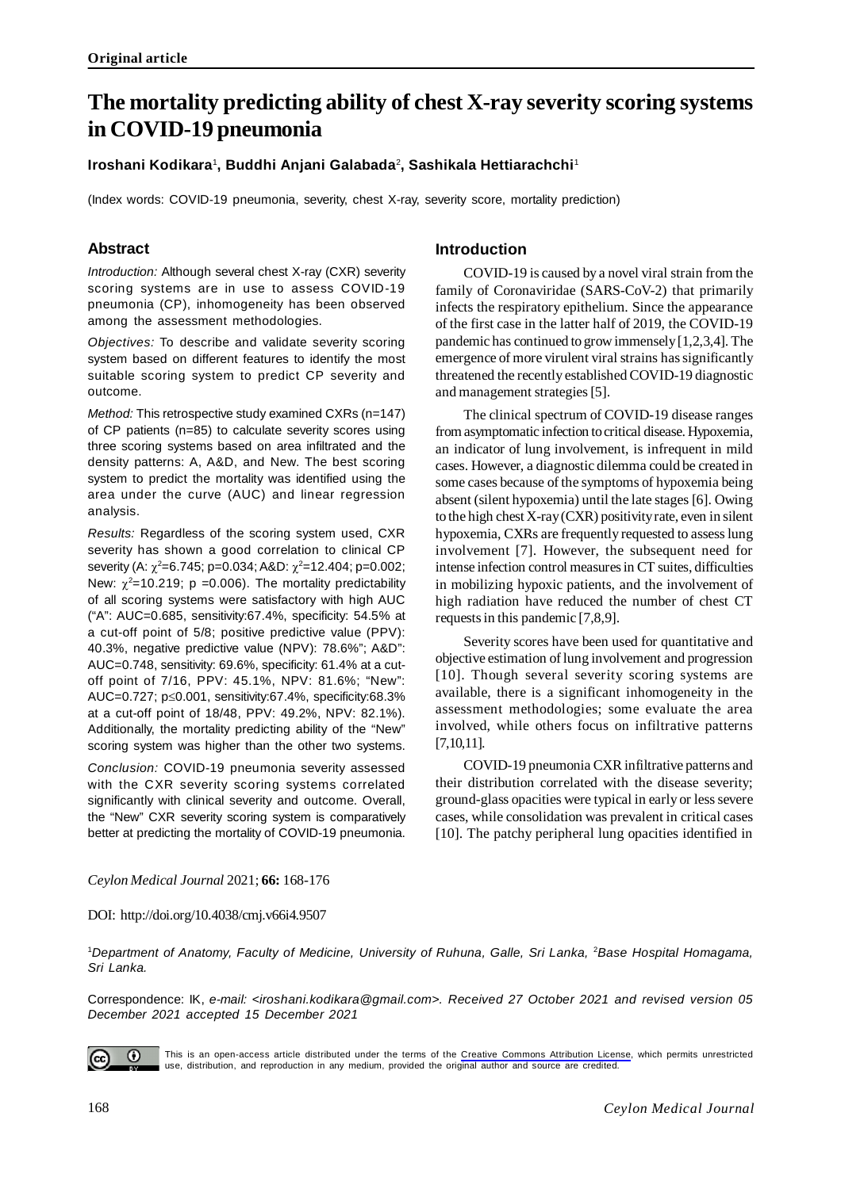# **The mortality predicting ability of chest X-ray severity scoring systems in COVID-19 pneumonia**

# Iroshani Kodikara<sup>1</sup>, Buddhi Anjani Galabada<sup>2</sup>, Sashikala Hettiarachchi<sup>1</sup>

(Index words: COVID-19 pneumonia, severity, chest X-ray, severity score, mortality prediction)

# **Abstract**

*Introduction:* Although several chest X-ray (CXR) severity scoring systems are in use to assess COVID-19 pneumonia (CP), inhomogeneity has been observed among the assessment methodologies.

*Objectives:* To describe and validate severity scoring system based on different features to identify the most suitable scoring system to predict CP severity and outcome.

*Method:* This retrospective study examined CXRs (n=147) of CP patients (n=85) to calculate severity scores using three scoring systems based on area infiltrated and the density patterns: A, A&D, and New. The best scoring system to predict the mortality was identified using the area under the curve (AUC) and linear regression analysis.

*Results:* Regardless of the scoring system used, CXR severity has shown a good correlation to clinical CP severity (A:  $\chi^2$ =6.745; p=0.034; A&D:  $\chi^2$ =12.404; p=0.002; New:  $\chi^2$ =10.219; p =0.006). The mortality predictability of all scoring systems were satisfactory with high AUC ("A": AUC=0.685, sensitivity:67.4%, specificity: 54.5% at a cut-off point of 5/8; positive predictive value (PPV): 40.3%, negative predictive value (NPV): 78.6%"; A&D": AUC=0.748, sensitivity: 69.6%, specificity: 61.4% at a cutoff point of 7/16, PPV: 45.1%, NPV: 81.6%; "New": AUC=0.727;  $p \le 0.001$ , sensitivity:67.4%, specificity:68.3% at a cut-off point of 18/48, PPV: 49.2%, NPV: 82.1%). Additionally, the mortality predicting ability of the "New" scoring system was higher than the other two systems.

*Conclusion:* COVID-19 pneumonia severity assessed with the CXR severity scoring systems correlated significantly with clinical severity and outcome. Overall, the "New" CXR severity scoring system is comparatively better at predicting the mortality of COVID-19 pneumonia.

# **Introduction**

COVID-19 is caused by a novel viral strain from the family of Coronaviridae (SARS-CoV-2) that primarily infects the respiratory epithelium. Since the appearance of the first case in the latter half of 2019, the COVID-19 pandemic has continued to grow immensely [1,2,3,4]. The emergence of more virulent viral strains has significantly threatened the recently established COVID-19 diagnostic and management strategies [5].

The clinical spectrum of COVID-19 disease ranges from asymptomatic infection to critical disease. Hypoxemia, an indicator of lung involvement, is infrequent in mild cases. However, a diagnostic dilemma could be created in some cases because of the symptoms of hypoxemia being absent (silent hypoxemia) until the late stages [6]. Owing to the high chest X-ray (CXR) positivity rate, even in silent hypoxemia, CXRs are frequently requested to assess lung involvement [7]. However, the subsequent need for intense infection control measures in CT suites, difficulties in mobilizing hypoxic patients, and the involvement of high radiation have reduced the number of chest CT requests in this pandemic [7,8,9].

Severity scores have been used for quantitative and objective estimation of lung involvement and progression [10]. Though several severity scoring systems are available, there is a significant inhomogeneity in the assessment methodologies; some evaluate the area involved, while others focus on infiltrative patterns [7,10,11].

COVID-19 pneumonia CXR infiltrative patterns and their distribution correlated with the disease severity; ground-glass opacities were typical in early or less severe cases, while consolidation was prevalent in critical cases [10]. The patchy peripheral lung opacities identified in

# *Ceylon Medical Journal* 2021; **66:** 168-176

# DOI: http://doi.org/10.4038/cmj.v66i4.9507

<sup>1</sup>*Department of Anatomy, Faculty of Medicine, University of Ruhuna, Galle, Sri Lanka,* <sup>2</sup>*Base Hospital Homagama, Sri Lanka.*

Correspondence: IK, *e-mail: <iroshani.kodikara@gmail.com>. Received 27 October 2021 and revised version 05 December 2021 accepted 15 December 2021*



This is an open-access article distributed under the terms of the [Creative Commons Attribution License](https://creativecommons.org/licenses/by/4.0/legalcode), which permits unrestricted use, distribution, and reproduction in any medium, provided the original author and source are credited.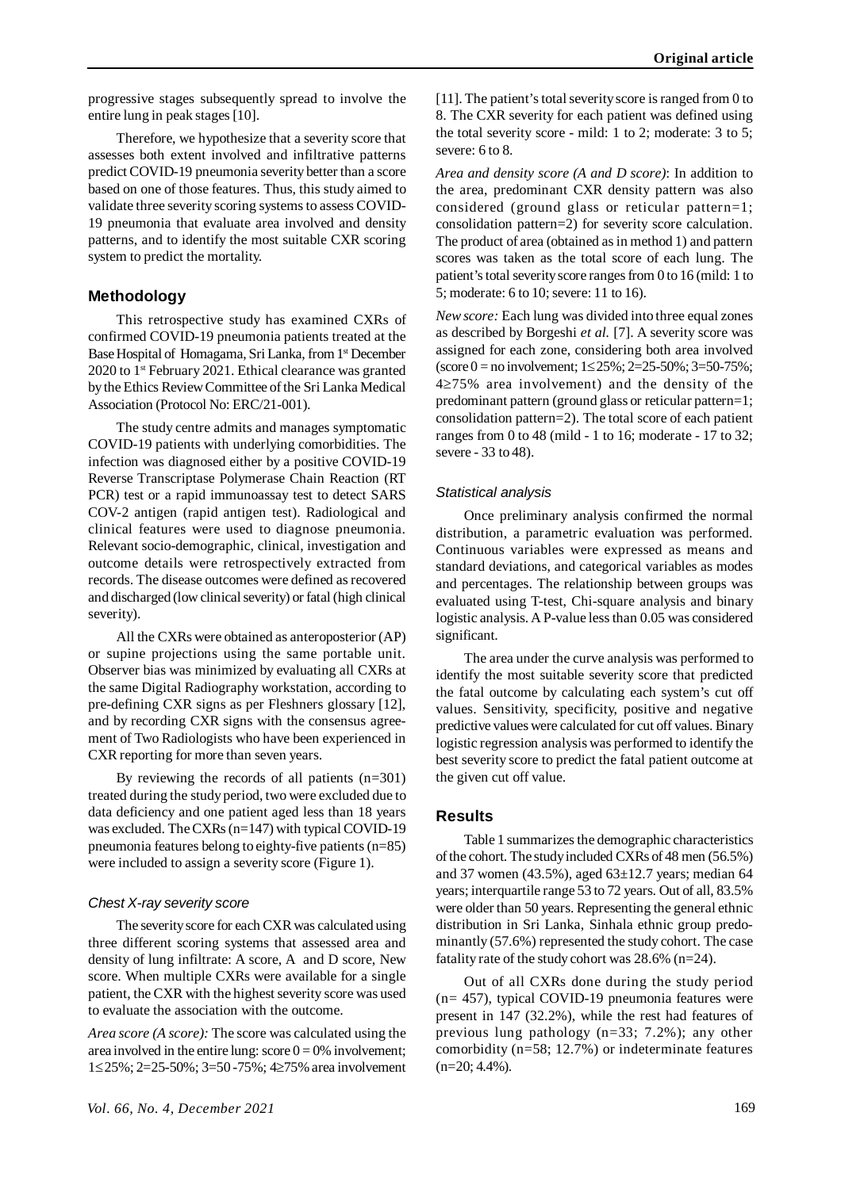progressive stages subsequently spread to involve the entire lung in peak stages [10].

Therefore, we hypothesize that a severity score that assesses both extent involved and infiltrative patterns predict COVID-19 pneumonia severity better than a score based on one of those features. Thus, this study aimed to validate three severity scoring systems to assess COVID-19 pneumonia that evaluate area involved and density patterns, and to identify the most suitable CXR scoring system to predict the mortality.

# **Methodology**

This retrospective study has examined CXRs of confirmed COVID-19 pneumonia patients treated at the Base Hospital of Homagama, Sri Lanka, from 1<sup>st</sup> December 2020 to 1<sup>st</sup> February 2021. Ethical clearance was granted by the Ethics Review Committee of the Sri Lanka Medical Association (Protocol No: ERC/21-001).

The study centre admits and manages symptomatic COVID-19 patients with underlying comorbidities. The infection was diagnosed either by a positive COVID-19 Reverse Transcriptase Polymerase Chain Reaction (RT PCR) test or a rapid immunoassay test to detect SARS COV-2 antigen (rapid antigen test). Radiological and clinical features were used to diagnose pneumonia. Relevant socio-demographic, clinical, investigation and outcome details were retrospectively extracted from records. The disease outcomes were defined as recovered and discharged (low clinical severity) or fatal (high clinical severity).

All the CXRs were obtained as anteroposterior (AP) or supine projections using the same portable unit. Observer bias was minimized by evaluating all CXRs at the same Digital Radiography workstation, according to pre-defining CXR signs as per Fleshners glossary [12], and by recording CXR signs with the consensus agreement of Two Radiologists who have been experienced in CXR reporting for more than seven years.

By reviewing the records of all patients (n=301) treated during the study period, two were excluded due to data deficiency and one patient aged less than 18 years was excluded. The CXRs (n=147) with typical COVID-19 pneumonia features belong to eighty-five patients (n=85) were included to assign a severity score (Figure 1).

#### *Chest X-ray severity score*

The severity score for each CXR was calculated using three different scoring systems that assessed area and density of lung infiltrate: A score, A and D score, New score. When multiple CXRs were available for a single patient, the CXR with the highest severity score was used to evaluate the association with the outcome.

*Area score (A score):* The score was calculated using the area involved in the entire lung: score  $0 = 0\%$  involvement; 1≤25%; 2=25-50%; 3=50 -75%; 4≥75% area involvement [11]. The patient's total severity score is ranged from 0 to 8. The CXR severity for each patient was defined using the total severity score - mild: 1 to 2; moderate: 3 to 5; severe: 6 to 8.

*Area and density score (A and D score)*: In addition to the area, predominant CXR density pattern was also considered (ground glass or reticular pattern=1; consolidation pattern=2) for severity score calculation. The product of area (obtained as in method 1) and pattern scores was taken as the total score of each lung. The patient's total severity score ranges from 0 to 16 (mild: 1 to 5; moderate: 6 to 10; severe: 11 to 16).

*New score:* Each lung was divided into three equal zones as described by Borgeshi *et al.* [7]. A severity score was assigned for each zone, considering both area involved (score 0 = no involvement;  $1 \le 25\%$ ;  $2 = 25-50\%$ ;  $3 = 50-75\%$ ;  $4\geq$ 75% area involvement) and the density of the predominant pattern (ground glass or reticular pattern=1; consolidation pattern=2). The total score of each patient ranges from 0 to 48 (mild - 1 to 16; moderate - 17 to 32; severe - 33 to 48).

#### *Statistical analysis*

Once preliminary analysis confirmed the normal distribution, a parametric evaluation was performed. Continuous variables were expressed as means and standard deviations, and categorical variables as modes and percentages. The relationship between groups was evaluated using T-test, Chi-square analysis and binary logistic analysis. A P-value less than 0.05 was considered significant.

The area under the curve analysis was performed to identify the most suitable severity score that predicted the fatal outcome by calculating each system's cut off values. Sensitivity, specificity, positive and negative predictive values were calculated for cut off values. Binary logistic regression analysis was performed to identify the best severity score to predict the fatal patient outcome at the given cut off value.

#### **Results**

Table 1 summarizes the demographic characteristics of the cohort. The study included CXRs of 48 men (56.5%) and 37 women (43.5%), aged 63±12.7 years; median 64 years; interquartile range 53 to 72 years. Out of all, 83.5% were older than 50 years. Representing the general ethnic distribution in Sri Lanka, Sinhala ethnic group predominantly (57.6%) represented the study cohort. The case fatality rate of the study cohort was 28.6% (n=24).

Out of all CXRs done during the study period (n= 457), typical COVID-19 pneumonia features were present in 147 (32.2%), while the rest had features of previous lung pathology (n=33; 7.2%); any other comorbidity (n=58; 12.7%) or indeterminate features  $(n=20; 4.4\%)$ .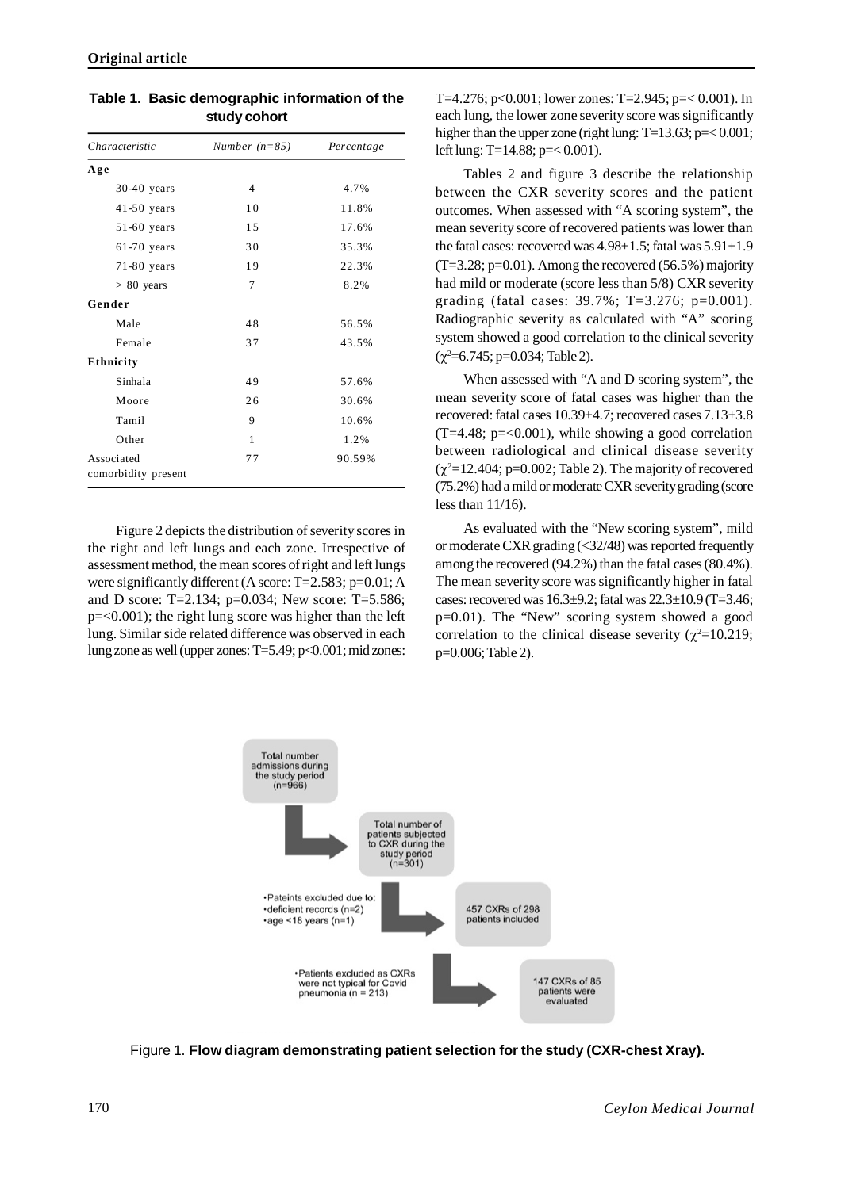| Number $(n=85)$ | Percentage |  |  |
|-----------------|------------|--|--|
|                 |            |  |  |
| $\overline{4}$  | 4.7%       |  |  |
| 10              | 11.8%      |  |  |
| 15              | 17.6%      |  |  |
| 30              | 35.3%      |  |  |
| 19              | 22.3%      |  |  |
| 7               | 8.2%       |  |  |
|                 |            |  |  |
| 48              | 56.5%      |  |  |
| 37              | 43.5%      |  |  |
|                 |            |  |  |
| 49              | 57.6%      |  |  |
| 26              | 30.6%      |  |  |
| 9               | 10.6%      |  |  |
| 1               | 1.2%       |  |  |
| 77              | 90.59%     |  |  |
|                 |            |  |  |
|                 |            |  |  |

**Table 1. Basic demographic information of the study cohort**

Figure 2 depicts the distribution of severity scores in the right and left lungs and each zone. Irrespective of assessment method, the mean scores of right and left lungs were significantly different (A score: T=2.583; p=0.01; A and D score: T=2.134; p=0.034; New score: T=5.586; p=<0.001); the right lung score was higher than the left lung. Similar side related difference was observed in each lung zone as well (upper zones: T=5.49; p<0.001; mid zones: T=4.276; p<0.001; lower zones: T=2.945; p= $< 0.001$ ). In each lung, the lower zone severity score was significantly higher than the upper zone (right lung: T=13.63; p=< 0.001; left lung: T=14.88; p=< 0.001).

Tables 2 and figure 3 describe the relationship between the CXR severity scores and the patient outcomes. When assessed with "A scoring system", the mean severity score of recovered patients was lower than the fatal cases: recovered was  $4.98\pm1.5$ ; fatal was  $5.91\pm1.9$  $(T=3.28; p=0.01)$ . Among the recovered (56.5%) majority had mild or moderate (score less than 5/8) CXR severity grading (fatal cases: 39.7%; T=3.276; p=0.001). Radiographic severity as calculated with "A" scoring system showed a good correlation to the clinical severity  $(\chi^2=6.745; p=0.034;$  Table 2).

When assessed with "A and D scoring system", the mean severity score of fatal cases was higher than the recovered: fatal cases 10.39±4.7; recovered cases 7.13±3.8  $(T=4.48; p=<0.001)$ , while showing a good correlation between radiological and clinical disease severity  $(\chi^2=12.404; p=0.002;$  Table 2). The majority of recovered (75.2%) had a mild or moderate CXR severity grading (score less than 11/16).

As evaluated with the "New scoring system", mild or moderate CXR grading (<32/48) was reported frequently among the recovered (94.2%) than the fatal cases (80.4%). The mean severity score was significantly higher in fatal cases: recovered was 16.3±9.2; fatal was 22.3±10.9 (T=3.46; p=0.01). The "New" scoring system showed a good correlation to the clinical disease severity ( $\chi^2$ =10.219; p=0.006; Table 2).



Figure 1. **Flow diagram demonstrating patient selection for the study (CXR-chest Xray).**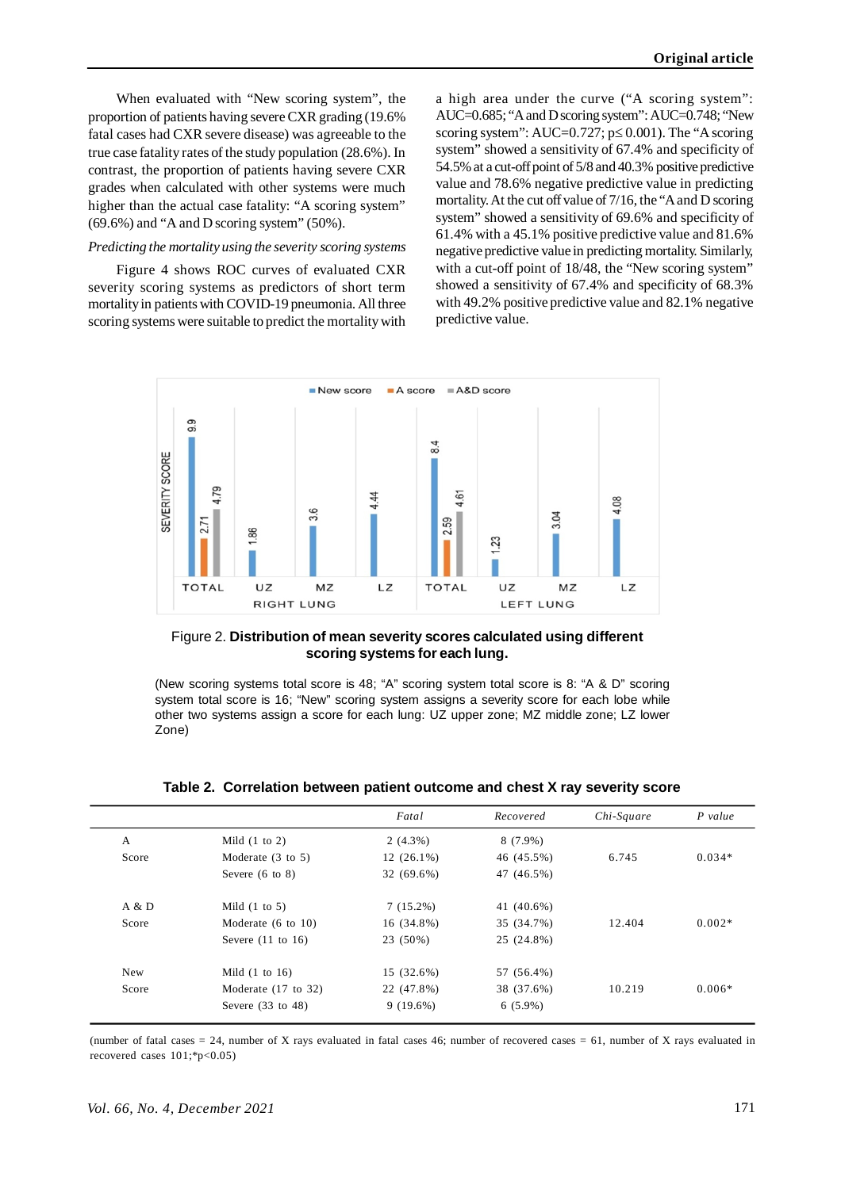When evaluated with "New scoring system", the proportion of patients having severe CXR grading (19.6% fatal cases had CXR severe disease) was agreeable to the true case fatality rates of the study population (28.6%). In contrast, the proportion of patients having severe CXR grades when calculated with other systems were much higher than the actual case fatality: "A scoring system" (69.6%) and "A and D scoring system" (50%).

#### *Predicting the mortality using the severity scoring systems*

Figure 4 shows ROC curves of evaluated CXR severity scoring systems as predictors of short term mortality in patients with COVID-19 pneumonia. All three scoring systems were suitable to predict the mortality with a high area under the curve ("A scoring system": AUC=0.685; "A and D scoring system": AUC=0.748; "New scoring system":  $AUC=0.727$ ;  $p \le 0.001$ ). The "A scoring system" showed a sensitivity of 67.4% and specificity of 54.5% at a cut-off point of 5/8 and 40.3% positive predictive value and 78.6% negative predictive value in predicting mortality. At the cut off value of 7/16, the "A and D scoring system" showed a sensitivity of 69.6% and specificity of 61.4% with a 45.1% positive predictive value and 81.6% negative predictive value in predicting mortality. Similarly, with a cut-off point of 18/48, the "New scoring system" showed a sensitivity of 67.4% and specificity of 68.3% with 49.2% positive predictive value and 82.1% negative predictive value.



Figure 2. **Distribution of mean severity scores calculated using different scoring systems for each lung.**

(New scoring systems total score is 48; "A" scoring system total score is 8: "A & D" scoring system total score is 16; "New" scoring system assigns a severity score for each lobe while other two systems assign a score for each lung: UZ upper zone; MZ middle zone; LZ lower Zone)

|            |                               | Fatal        | Recovered  | Chi-Square | $P$ value |
|------------|-------------------------------|--------------|------------|------------|-----------|
| A          | Mild $(1 \text{ to } 2)$      | $2(4.3\%)$   | $8(7.9\%)$ |            |           |
| Score      | Moderate $(3 \text{ to } 5)$  | $12(26.1\%)$ | 46 (45.5%) | 6.745      | $0.034*$  |
|            | Severe $(6 \text{ to } 8)$    | 32 (69.6%)   | 47 (46.5%) |            |           |
| A & D      | Mild $(1 \text{ to } 5)$      | $7(15.2\%)$  | 41 (40.6%) |            |           |
| Score      | Moderate $(6 \text{ to } 10)$ | 16 (34.8%)   | 35 (34.7%) | 12.404     | $0.002*$  |
|            | Severe $(11 \text{ to } 16)$  | 23 (50%)     | 25 (24.8%) |            |           |
| <b>New</b> | Mild $(1 \text{ to } 16)$     | 15 (32.6%)   | 57 (56.4%) |            |           |
| Score      | Moderate $(17$ to $32)$       | 22 (47.8%)   | 38 (37.6%) | 10.219     | $0.006*$  |
|            | Severe $(33 \text{ to } 48)$  | $9(19.6\%)$  | $6(5.9\%)$ |            |           |

**Table 2. Correlation between patient outcome and chest X ray severity score**

(number of fatal cases = 24, number of X rays evaluated in fatal cases 46; number of recovered cases = 61, number of X rays evaluated in recovered cases 101;\*p<0.05)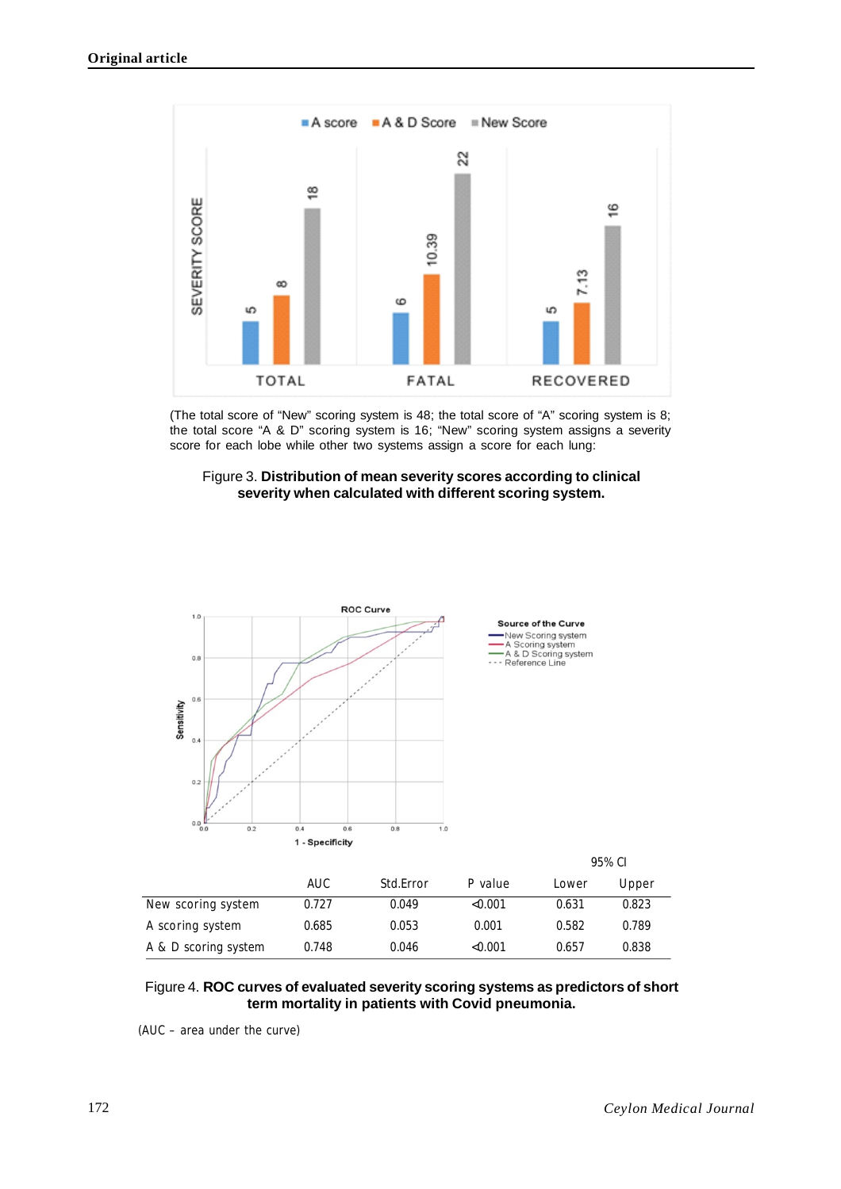

(The total score of "New" scoring system is 48; the total score of "A" scoring system is 8; the total score "A & D" scoring system is 16; "New" scoring system assigns a severity score for each lobe while other two systems assign a score for each lung:





|                      | AUC   | Std.Error | P value | Lower | Upper |
|----------------------|-------|-----------|---------|-------|-------|
| New scoring system   | 0.727 | 0.049     | < 0.001 | 0.631 | 0.823 |
| A scoring system     | 0.685 | 0.053     | 0.001   | 0.582 | 0.789 |
| A & D scoring system | 0.748 | 0.046     | < 0.001 | 0.657 | 0.838 |

# Figure 4. **ROC curves of evaluated severity scoring systems as predictors of short term mortality in patients with Covid pneumonia.**

(AUC – area under the curve)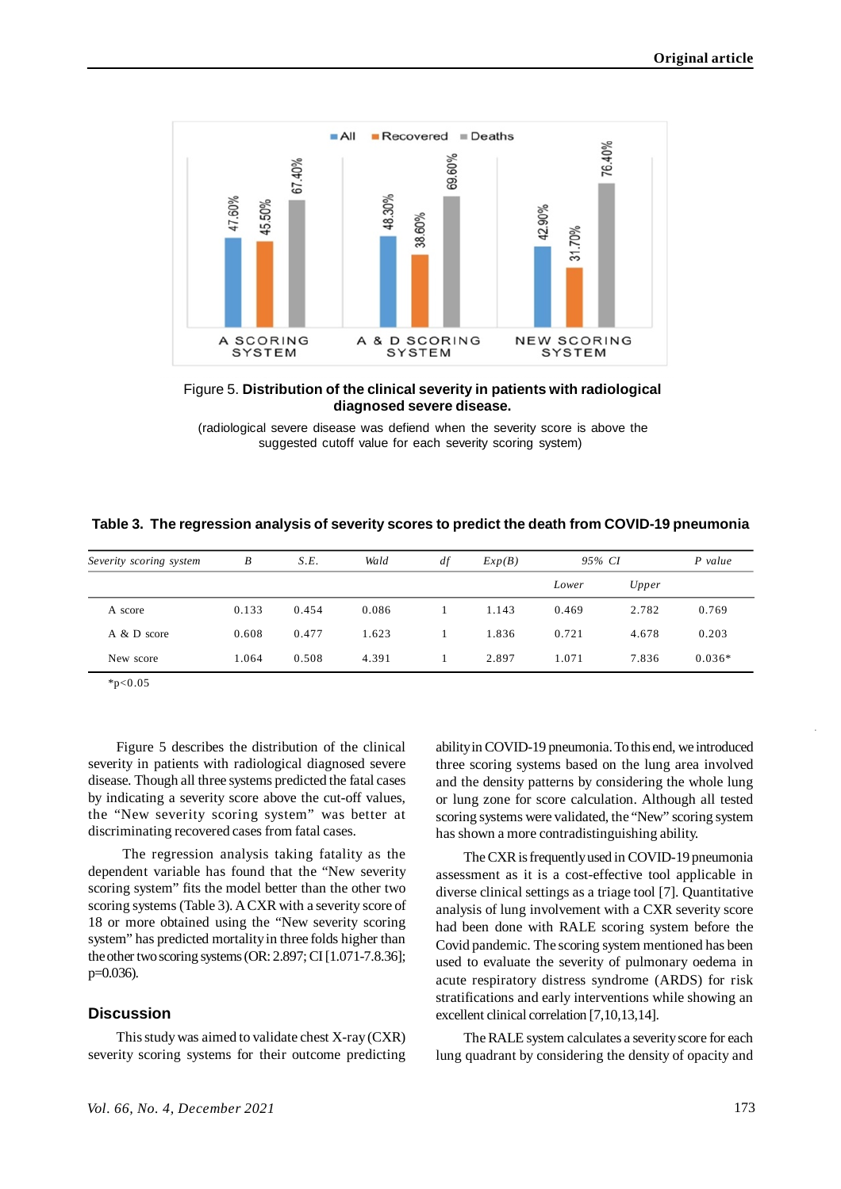

Figure 5. **Distribution of the clinical severity in patients with radiological diagnosed severe disease.**

 (radiological severe disease was defiend when the severity score is above the suggested cutoff value for each severity scoring system)

|  |  |  |  |  |  | Table 3. The regression analysis of severity scores to predict the death from COVID-19 pneumonia |
|--|--|--|--|--|--|--------------------------------------------------------------------------------------------------|
|--|--|--|--|--|--|--------------------------------------------------------------------------------------------------|

| Severity scoring system | B     | S.E.  | Wald  | df | Exp(B) | 95% CI |       | $P$ value |
|-------------------------|-------|-------|-------|----|--------|--------|-------|-----------|
|                         |       |       |       |    |        | Lower  | Upper |           |
| A score                 | 0.133 | 0.454 | 0.086 |    | 1.143  | 0.469  | 2.782 | 0.769     |
| A & D score             | 0.608 | 0.477 | 1.623 |    | 1.836  | 0.721  | 4.678 | 0.203     |
| New score               | 1.064 | 0.508 | 4.391 |    | 2.897  | 1.071  | 7.836 | $0.036*$  |

 $*p<0.05$ 

Figure 5 describes the distribution of the clinical severity in patients with radiological diagnosed severe disease. Though all three systems predicted the fatal cases by indicating a severity score above the cut-off values, the "New severity scoring system" was better at discriminating recovered cases from fatal cases.

 The regression analysis taking fatality as the dependent variable has found that the "New severity scoring system" fits the model better than the other two scoring systems (Table 3). A CXR with a severity score of 18 or more obtained using the "New severity scoring system" has predicted mortality in three folds higher than the other two scoring systems (OR: 2.897; CI [1.071-7.8.36]; p=0.036).

# **Discussion**

This study was aimed to validate chest X-ray (CXR) severity scoring systems for their outcome predicting ability in COVID-19 pneumonia. To this end, we introduced three scoring systems based on the lung area involved and the density patterns by considering the whole lung or lung zone for score calculation. Although all tested scoring systems were validated, the "New" scoring system has shown a more contradistinguishing ability.

The CXR is frequently used in COVID-19 pneumonia assessment as it is a cost-effective tool applicable in diverse clinical settings as a triage tool [7]. Quantitative analysis of lung involvement with a CXR severity score had been done with RALE scoring system before the Covid pandemic. The scoring system mentioned has been used to evaluate the severity of pulmonary oedema in acute respiratory distress syndrome (ARDS) for risk stratifications and early interventions while showing an excellent clinical correlation [7,10,13,14].

The RALE system calculates a severity score for each lung quadrant by considering the density of opacity and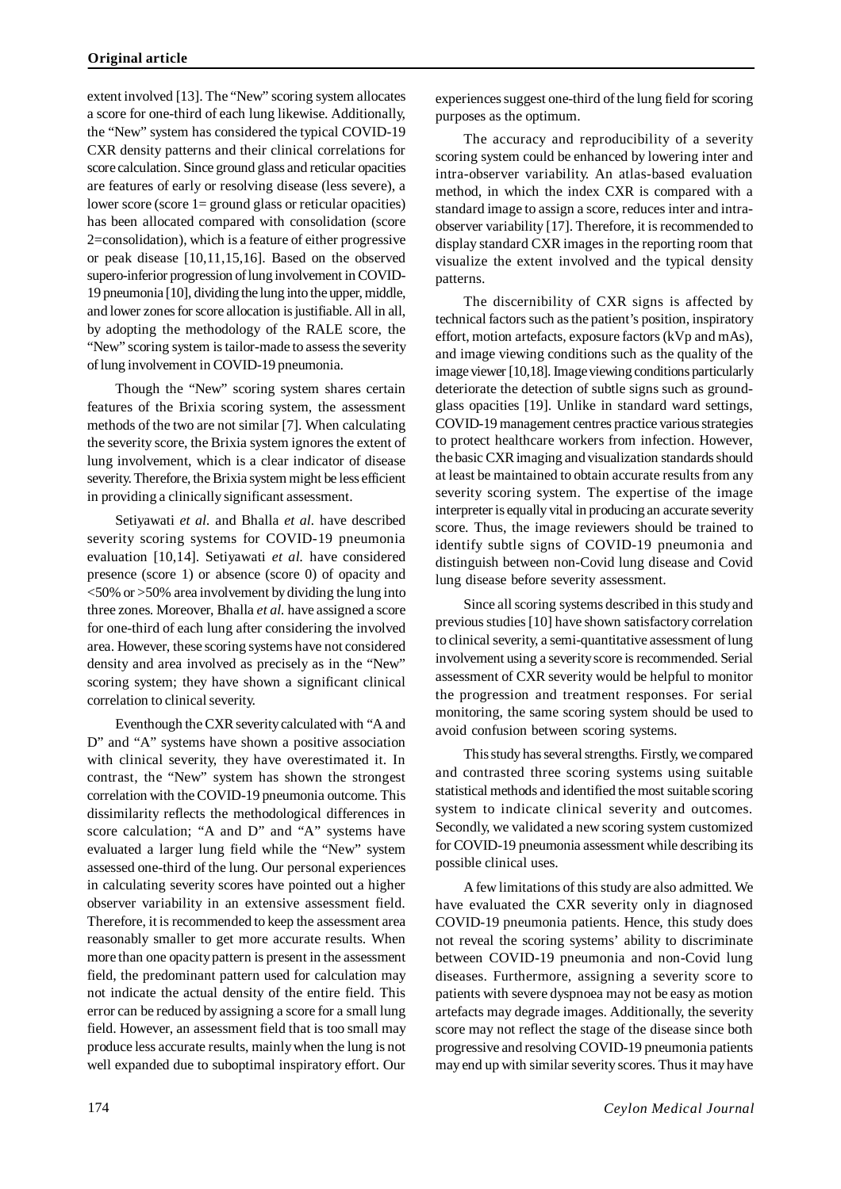extent involved [13]. The "New" scoring system allocates a score for one-third of each lung likewise. Additionally, the "New" system has considered the typical COVID-19 CXR density patterns and their clinical correlations for score calculation. Since ground glass and reticular opacities are features of early or resolving disease (less severe), a lower score (score 1= ground glass or reticular opacities) has been allocated compared with consolidation (score 2=consolidation), which is a feature of either progressive or peak disease [10,11,15,16]. Based on the observed supero-inferior progression of lung involvement in COVID-19 pneumonia [10], dividing the lung into the upper, middle, and lower zones for score allocation is justifiable. All in all, by adopting the methodology of the RALE score, the "New" scoring system is tailor-made to assess the severity of lung involvement in COVID-19 pneumonia.

Though the "New" scoring system shares certain features of the Brixia scoring system, the assessment methods of the two are not similar [7]. When calculating the severity score, the Brixia system ignores the extent of lung involvement, which is a clear indicator of disease severity. Therefore, the Brixia system might be less efficient in providing a clinically significant assessment.

Setiyawati *et al.* and Bhalla *et al.* have described severity scoring systems for COVID-19 pneumonia evaluation [10,14]. Setiyawati *et al.* have considered presence (score 1) or absence (score 0) of opacity and <50% or >50% area involvement by dividing the lung into three zones. Moreover, Bhalla *et al.* have assigned a score for one-third of each lung after considering the involved area. However, these scoring systems have not considered density and area involved as precisely as in the "New" scoring system; they have shown a significant clinical correlation to clinical severity.

Eventhough the CXR severity calculated with "A and D" and "A" systems have shown a positive association with clinical severity, they have overestimated it. In contrast, the "New" system has shown the strongest correlation with the COVID-19 pneumonia outcome. This dissimilarity reflects the methodological differences in score calculation; "A and D" and "A" systems have evaluated a larger lung field while the "New" system assessed one-third of the lung. Our personal experiences in calculating severity scores have pointed out a higher observer variability in an extensive assessment field. Therefore, it is recommended to keep the assessment area reasonably smaller to get more accurate results. When more than one opacity pattern is present in the assessment field, the predominant pattern used for calculation may not indicate the actual density of the entire field. This error can be reduced by assigning a score for a small lung field. However, an assessment field that is too small may produce less accurate results, mainly when the lung is not well expanded due to suboptimal inspiratory effort. Our

experiences suggest one-third of the lung field for scoring purposes as the optimum.

The accuracy and reproducibility of a severity scoring system could be enhanced by lowering inter and intra-observer variability. An atlas-based evaluation method, in which the index CXR is compared with a standard image to assign a score, reduces inter and intraobserver variability [17]. Therefore, it is recommended to display standard CXR images in the reporting room that visualize the extent involved and the typical density patterns.

The discernibility of CXR signs is affected by technical factors such as the patient's position, inspiratory effort, motion artefacts, exposure factors (kVp and mAs), and image viewing conditions such as the quality of the image viewer [10,18]. Image viewing conditions particularly deteriorate the detection of subtle signs such as groundglass opacities [19]. Unlike in standard ward settings, COVID-19 management centres practice various strategies to protect healthcare workers from infection. However, the basic CXR imaging and visualization standards should at least be maintained to obtain accurate results from any severity scoring system. The expertise of the image interpreter is equally vital in producing an accurate severity score. Thus, the image reviewers should be trained to identify subtle signs of COVID-19 pneumonia and distinguish between non-Covid lung disease and Covid lung disease before severity assessment.

Since all scoring systems described in this study and previous studies [10] have shown satisfactory correlation to clinical severity, a semi-quantitative assessment of lung involvement using a severity score is recommended. Serial assessment of CXR severity would be helpful to monitor the progression and treatment responses. For serial monitoring, the same scoring system should be used to avoid confusion between scoring systems.

This study has several strengths. Firstly, we compared and contrasted three scoring systems using suitable statistical methods and identified the most suitable scoring system to indicate clinical severity and outcomes. Secondly, we validated a new scoring system customized for COVID-19 pneumonia assessment while describing its possible clinical uses.

A few limitations of this study are also admitted. We have evaluated the CXR severity only in diagnosed COVID-19 pneumonia patients. Hence, this study does not reveal the scoring systems' ability to discriminate between COVID-19 pneumonia and non-Covid lung diseases. Furthermore, assigning a severity score to patients with severe dyspnoea may not be easy as motion artefacts may degrade images. Additionally, the severity score may not reflect the stage of the disease since both progressive and resolving COVID-19 pneumonia patients may end up with similar severity scores. Thus it may have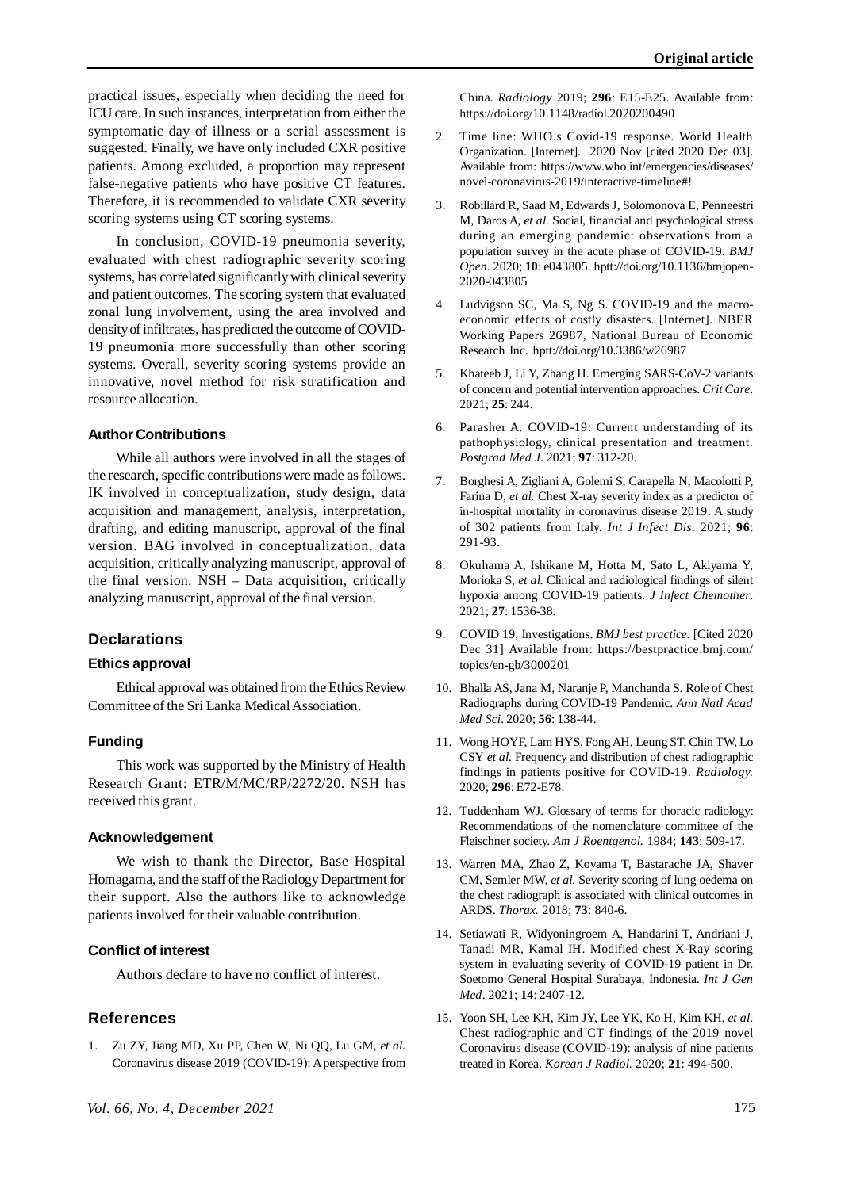practical issues, especially when deciding the need for ICU care. In such instances, interpretation from either the symptomatic day of illness or a serial assessment is suggested. Finally, we have only included CXR positive patients. Among excluded, a proportion may represent false-negative patients who have positive CT features. Therefore, it is recommended to validate CXR severity scoring systems using CT scoring systems.

In conclusion, COVID-19 pneumonia severity, evaluated with chest radiographic severity scoring systems, has correlated significantly with clinical severity and patient outcomes. The scoring system that evaluated zonal lung involvement, using the area involved and density of infiltrates, has predicted the outcome of COVID-19 pneumonia more successfully than other scoring systems. Overall, severity scoring systems provide an innovative, novel method for risk stratification and resource allocation.

## **Author Contributions**

While all authors were involved in all the stages of the research, specific contributions were made as follows. IK involved in conceptualization, study design, data acquisition and management, analysis, interpretation, drafting, and editing manuscript, approval of the final version. BAG involved in conceptualization, data acquisition, critically analyzing manuscript, approval of the final version. NSH – Data acquisition, critically analyzing manuscript, approval of the final version.

# **Declarations**

# **Ethics approval**

Ethical approval was obtained from the Ethics Review Committee of the Sri Lanka Medical Association.

## **Funding**

This work was supported by the Ministry of Health Research Grant: ETR/M/MC/RP/2272/20. NSH has received this grant.

## **Acknowledgement**

We wish to thank the Director, Base Hospital Homagama, and the staff of the Radiology Department for their support. Also the authors like to acknowledge patients involved for their valuable contribution.

# **Conflict of interest**

Authors declare to have no conflict of interest.

## **References**

1. Zu ZY, Jiang MD, Xu PP, Chen W, Ni QQ, Lu GM, *et al.* Coronavirus disease 2019 (COVID-19): A perspective from China. *Radiology* 2019; **296**: E15-E25. Available from: https://doi.org/10.1148/radiol.2020200490

- 2. Time line: WHO.s Covid-19 response. World Health Organization. [Internet]. 2020 Nov [cited 2020 Dec 03]. Available from: https://www.who.int/emergencies/diseases/ novel-coronavirus-2019/interactive-timeline#!
- 3. Robillard R, Saad M, Edwards J, Solomonova E, Penneestri M, Daros A, *et al.* Social, financial and psychological stress during an emerging pandemic: observations from a population survey in the acute phase of COVID-19. *BMJ Open*. 2020; **10**: e043805. hptt://doi.org/10.1136/bmjopen-2020-043805
- 4. Ludvigson SC, Ma S, Ng S. COVID-19 and the macroeconomic effects of costly disasters. [Internet]. NBER Working Papers 26987, National Bureau of Economic Research Inc. hptt://doi.org/10.3386/w26987
- 5. Khateeb J, Li Y, Zhang H. Emerging SARS-CoV-2 variants of concern and potential intervention approaches. *Crit Care*. 2021; **25**: 244.
- 6. Parasher A. COVID-19: Current understanding of its pathophysiology, clinical presentation and treatment. *Postgrad Med J*. 2021; **97**: 312-20.
- 7. Borghesi A, Zigliani A, Golemi S, Carapella N, Macolotti P, Farina D, *et al.* Chest X-ray severity index as a predictor of in-hospital mortality in coronavirus disease 2019: A study of 302 patients from Italy. *Int J Infect Dis.* 2021; **96**: 291-93.
- 8. Okuhama A, Ishikane M, Hotta M, Sato L, Akiyama Y, Morioka S, *et al.* Clinical and radiological findings of silent hypoxia among COVID-19 patients. *J Infect Chemother*. 2021; **27**: 1536-38.
- 9. COVID 19, Investigations. *BMJ best practice*. [Cited 2020 Dec 31] Available from: https://bestpractice.bmj.com/ topics/en-gb/3000201
- 10. Bhalla AS, Jana M, Naranje P, Manchanda S. Role of Chest Radiographs during COVID-19 Pandemic. *Ann Natl Acad Med Sci*. 2020; **56**: 138-44.
- 11. Wong HOYF, Lam HYS, Fong AH, Leung ST, Chin TW, Lo CSY *et al.* Frequency and distribution of chest radiographic findings in patients positive for COVID-19. *Radiology.* 2020; **296**: E72-E78.
- 12. Tuddenham WJ. Glossary of terms for thoracic radiology: Recommendations of the nomenclature committee of the Fleischner society. *Am J Roentgenol.* 1984; **143**: 509-17.
- 13. Warren MA, Zhao Z, Koyama T, Bastarache JA, Shaver CM, Semler MW, *et al.* Severity scoring of lung oedema on the chest radiograph is associated with clinical outcomes in ARDS. *Thorax.* 2018; **73**: 840-6.
- 14. Setiawati R, Widyoningroem A, Handarini T, Andriani J, Tanadi MR, Kamal IH. Modified chest X-Ray scoring system in evaluating severity of COVID-19 patient in Dr. Soetomo General Hospital Surabaya, Indonesia. *Int J Gen Med*. 2021; **14**: 2407-12.
- 15. Yoon SH, Lee KH, Kim JY, Lee YK, Ko H, Kim KH, *et al*. Chest radiographic and CT findings of the 2019 novel Coronavirus disease (COVID-19): analysis of nine patients treated in Korea. *Korean J Radiol.* 2020; **21**: 494-500.